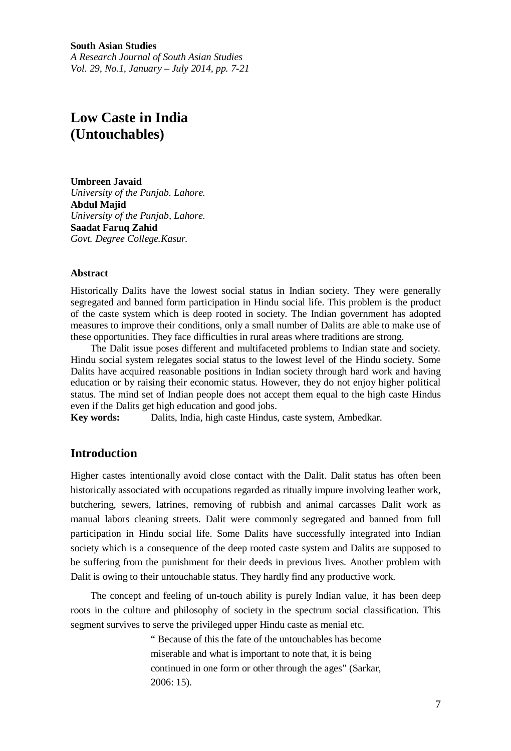**South Asian Studies** *A Research Journal of South Asian Studies Vol. 29, No.1, January – July 2014, pp. 7-21*

# **Low Caste in India (Untouchables)**

**Umbreen Javaid** *University of the Punjab. Lahore.* **Abdul Majid** *University of the Punjab, Lahore.* **Saadat Faruq Zahid** *Govt. Degree College.Kasur.*

#### **Abstract**

Historically Dalits have the lowest social status in Indian society. They were generally segregated and banned form participation in Hindu social life. This problem is the product of the caste system which is deep rooted in society. The Indian government has adopted measures to improve their conditions, only a small number of Dalits are able to make use of these opportunities. They face difficulties in rural areas where traditions are strong.

The Dalit issue poses different and multifaceted problems to Indian state and society. Hindu social system relegates social status to the lowest level of the Hindu society. Some Dalits have acquired reasonable positions in Indian society through hard work and having education or by raising their economic status. However, they do not enjoy higher political status. The mind set of Indian people does not accept them equal to the high caste Hindus even if the Dalits get high education and good jobs.

**Key words:** Dalits, India, high caste Hindus, caste system, Ambedkar.

# **Introduction**

Higher castes intentionally avoid close contact with the Dalit. Dalit status has often been historically associated with occupations regarded as ritually impure involving leather work, butchering, sewers, latrines, removing of rubbish and animal carcasses Dalit work as manual labors cleaning streets. Dalit were commonly segregated and banned from full participation in Hindu social life. Some Dalits have successfully integrated into Indian society which is a consequence of the deep rooted caste system and Dalits are supposed to be suffering from the punishment for their deeds in previous lives. Another problem with Dalit is owing to their untouchable status. They hardly find any productive work.

The concept and feeling of un-touch ability is purely Indian value, it has been deep roots in the culture and philosophy of society in the spectrum social classification. This segment survives to serve the privileged upper Hindu caste as menial etc.

> " Because of this the fate of the untouchables has become miserable and what is important to note that, it is being continued in one form or other through the ages" (Sarkar, 2006: 15).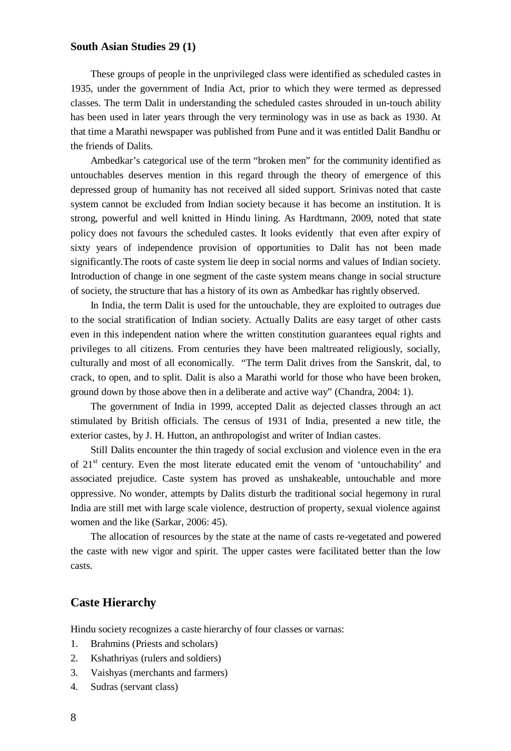These groups of people in the unprivileged class were identified as scheduled castes in 1935, under the government of India Act, prior to which they were termed as depressed classes. The term Dalit in understanding the scheduled castes shrouded in un-touch ability has been used in later years through the very terminology was in use as back as 1930. At that time a Marathi newspaper was published from Pune and it was entitled Dalit Bandhu or the friends of Dalits.

Ambedkar's categorical use of the term "broken men" for the community identified as untouchables deserves mention in this regard through the theory of emergence of this depressed group of humanity has not received all sided support. Srinivas noted that caste system cannot be excluded from Indian society because it has become an institution. It is strong, powerful and well knitted in Hindu lining. As Hardtmann, 2009, noted that state policy does not favours the scheduled castes. It looks evidently that even after expiry of sixty years of independence provision of opportunities to Dalit has not been made significantly.The roots of caste system lie deep in social norms and values of Indian society. Introduction of change in one segment of the caste system means change in social structure of society, the structure that has a history of its own as Ambedkar has rightly observed.

In India, the term Dalit is used for the untouchable, they are exploited to outrages due to the social stratification of Indian society. Actually Dalits are easy target of other casts even in this independent nation where the written constitution guarantees equal rights and privileges to all citizens. From centuries they have been maltreated religiously, socially, culturally and most of all economically. "The term Dalit drives from the Sanskrit, dal, to crack, to open, and to split. Dalit is also a Marathi world for those who have been broken, ground down by those above then in a deliberate and active way" (Chandra, 2004: 1).

The government of India in 1999, accepted Dalit as dejected classes through an act stimulated by British officials. The census of 1931 of India, presented a new title, the exterior castes, by J. H. Hutton, an anthropologist and writer of Indian castes.

Still Dalits encounter the thin tragedy of social exclusion and violence even in the era of  $21<sup>st</sup>$  century. Even the most literate educated emit the venom of 'untouchability' and associated prejudice. Caste system has proved as unshakeable, untouchable and more oppressive. No wonder, attempts by Dalits disturb the traditional social hegemony in rural India are still met with large scale violence, destruction of property, sexual violence against women and the like (Sarkar, 2006: 45).

The allocation of resources by the state at the name of casts re-vegetated and powered the caste with new vigor and spirit. The upper castes were facilitated better than the low casts.

#### **Caste Hierarchy**

Hindu society recognizes a caste hierarchy of four classes or varnas:

- 1. Brahmins (Priests and scholars)
- 2. Kshathriyas (rulers and soldiers)
- 3. Vaishyas (merchants and farmers)
- 4. Sudras (servant class)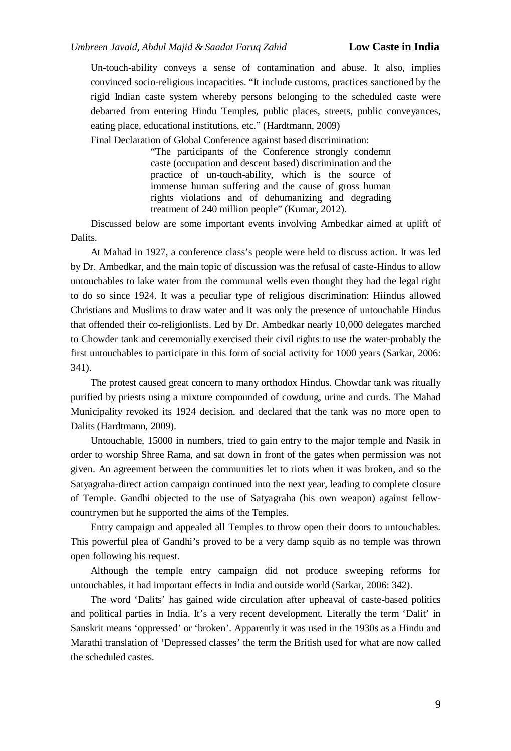Un-touch-ability conveys a sense of contamination and abuse. It also, implies convinced socio-religious incapacities. "It include customs, practices sanctioned by the rigid Indian caste system whereby persons belonging to the scheduled caste were debarred from entering Hindu Temples, public places, streets, public conveyances, eating place, educational institutions, etc." (Hardtmann, 2009)

Final Declaration of Global Conference against based discrimination:

"The participants of the Conference strongly condemn caste (occupation and descent based) discrimination and the practice of un-touch-ability, which is the source of immense human suffering and the cause of gross human rights violations and of dehumanizing and degrading treatment of 240 million people" (Kumar, 2012).

Discussed below are some important events involving Ambedkar aimed at uplift of Dalits.

At Mahad in 1927, a conference class's people were held to discuss action. It was led by Dr. Ambedkar, and the main topic of discussion was the refusal of caste-Hindus to allow untouchables to lake water from the communal wells even thought they had the legal right to do so since 1924. It was a peculiar type of religious discrimination: Hiindus allowed Christians and Muslims to draw water and it was only the presence of untouchable Hindus that offended their co-religionlists. Led by Dr. Ambedkar nearly 10,000 delegates marched to Chowder tank and ceremonially exercised their civil rights to use the water-probably the first untouchables to participate in this form of social activity for 1000 years (Sarkar, 2006: 341).

The protest caused great concern to many orthodox Hindus. Chowdar tank was ritually purified by priests using a mixture compounded of cowdung, urine and curds. The Mahad Municipality revoked its 1924 decision, and declared that the tank was no more open to Dalits (Hardtmann, 2009).

Untouchable, 15000 in numbers, tried to gain entry to the major temple and Nasik in order to worship Shree Rama, and sat down in front of the gates when permission was not given. An agreement between the communities let to riots when it was broken, and so the Satyagraha-direct action campaign continued into the next year, leading to complete closure of Temple. Gandhi objected to the use of Satyagraha (his own weapon) against fellowcountrymen but he supported the aims of the Temples.

Entry campaign and appealed all Temples to throw open their doors to untouchables. This powerful plea of Gandhi's proved to be a very damp squib as no temple was thrown open following his request.

Although the temple entry campaign did not produce sweeping reforms for untouchables, it had important effects in India and outside world (Sarkar, 2006: 342).

The word 'Dalits' has gained wide circulation after upheaval of caste-based politics and political parties in India. It's a very recent development. Literally the term 'Dalit' in Sanskrit means 'oppressed' or 'broken'. Apparently it was used in the 1930s as a Hindu and Marathi translation of 'Depressed classes' the term the British used for what are now called the scheduled castes.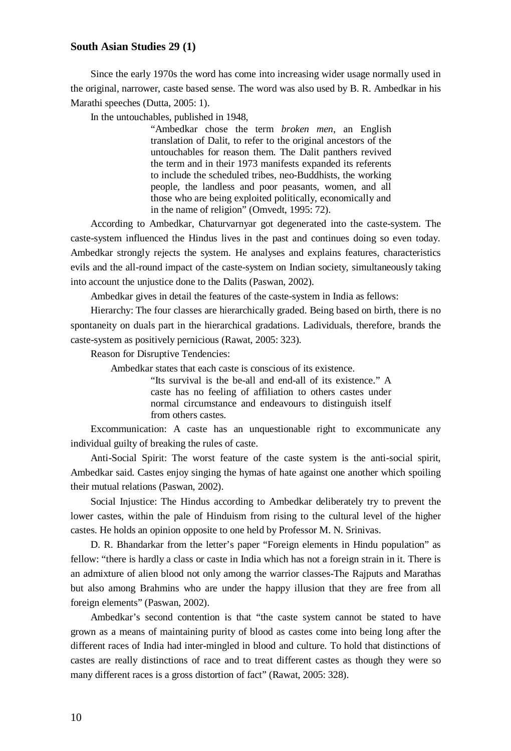Since the early 1970s the word has come into increasing wider usage normally used in the original, narrower, caste based sense. The word was also used by B. R. Ambedkar in his Marathi speeches (Dutta, 2005: 1).

In the untouchables, published in 1948,

"Ambedkar chose the term *broken men*, an English translation of Dalit, to refer to the original ancestors of the untouchables for reason them. The Dalit panthers revived the term and in their 1973 manifests expanded its referents to include the scheduled tribes, neo-Buddhists, the working people, the landless and poor peasants, women, and all those who are being exploited politically, economically and in the name of religion" (Omvedt, 1995: 72).

According to Ambedkar, Chaturvarnyar got degenerated into the caste-system. The caste-system influenced the Hindus lives in the past and continues doing so even today. Ambedkar strongly rejects the system. He analyses and explains features, characteristics evils and the all-round impact of the caste-system on Indian society, simultaneously taking into account the unjustice done to the Dalits (Paswan, 2002).

Ambedkar gives in detail the features of the caste-system in India as fellows:

Hierarchy: The four classes are hierarchically graded. Being based on birth, there is no spontaneity on duals part in the hierarchical gradations. Ladividuals, therefore, brands the caste-system as positively pernicious (Rawat, 2005: 323).

Reason for Disruptive Tendencies:

Ambedkar states that each caste is conscious of its existence.

"Its survival is the be-all and end-all of its existence." A caste has no feeling of affiliation to others castes under normal circumstance and endeavours to distinguish itself from others castes.

Excommunication: A caste has an unquestionable right to excommunicate any individual guilty of breaking the rules of caste.

Anti-Social Spirit: The worst feature of the caste system is the anti-social spirit, Ambedkar said. Castes enjoy singing the hymas of hate against one another which spoiling their mutual relations (Paswan, 2002).

Social Injustice: The Hindus according to Ambedkar deliberately try to prevent the lower castes, within the pale of Hinduism from rising to the cultural level of the higher castes. He holds an opinion opposite to one held by Professor M. N. Srinivas.

D. R. Bhandarkar from the letter's paper "Foreign elements in Hindu population" as fellow: "there is hardly a class or caste in India which has not a foreign strain in it. There is an admixture of alien blood not only among the warrior classes-The Rajputs and Marathas but also among Brahmins who are under the happy illusion that they are free from all foreign elements" (Paswan, 2002).

Ambedkar's second contention is that "the caste system cannot be stated to have grown as a means of maintaining purity of blood as castes come into being long after the different races of India had inter-mingled in blood and culture. To hold that distinctions of castes are really distinctions of race and to treat different castes as though they were so many different races is a gross distortion of fact" (Rawat, 2005: 328).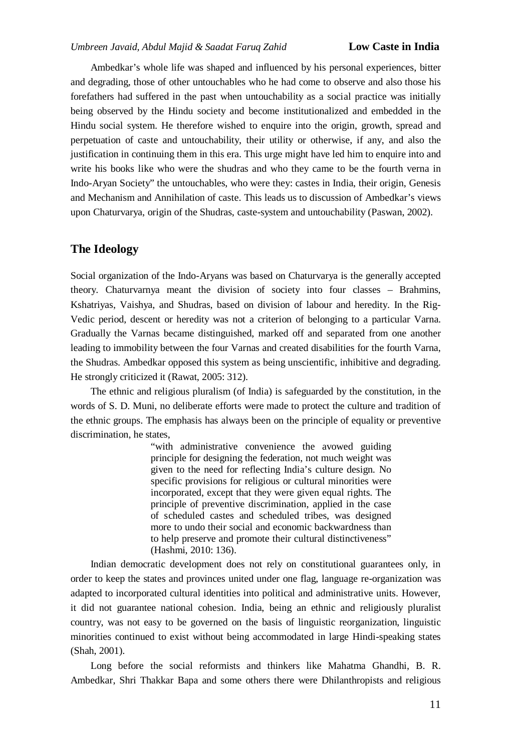Ambedkar's whole life was shaped and influenced by his personal experiences, bitter and degrading, those of other untouchables who he had come to observe and also those his forefathers had suffered in the past when untouchability as a social practice was initially being observed by the Hindu society and become institutionalized and embedded in the Hindu social system. He therefore wished to enquire into the origin, growth, spread and perpetuation of caste and untouchability, their utility or otherwise, if any, and also the justification in continuing them in this era. This urge might have led him to enquire into and write his books like who were the shudras and who they came to be the fourth verna in Indo-Aryan Society" the untouchables, who were they: castes in India, their origin, Genesis and Mechanism and Annihilation of caste. This leads us to discussion of Ambedkar's views upon Chaturvarya, origin of the Shudras, caste-system and untouchability (Paswan, 2002).

# **The Ideology**

Social organization of the Indo-Aryans was based on Chaturvarya is the generally accepted theory. Chaturvarnya meant the division of society into four classes – Brahmins, Kshatriyas, Vaishya, and Shudras, based on division of labour and heredity. In the Rig-Vedic period, descent or heredity was not a criterion of belonging to a particular Varna. Gradually the Varnas became distinguished, marked off and separated from one another leading to immobility between the four Varnas and created disabilities for the fourth Varna, the Shudras. Ambedkar opposed this system as being unscientific, inhibitive and degrading. He strongly criticized it (Rawat, 2005: 312).

The ethnic and religious pluralism (of India) is safeguarded by the constitution, in the words of S. D. Muni, no deliberate efforts were made to protect the culture and tradition of the ethnic groups. The emphasis has always been on the principle of equality or preventive discrimination, he states,

> "with administrative convenience the avowed guiding principle for designing the federation, not much weight was given to the need for reflecting India's culture design. No specific provisions for religious or cultural minorities were incorporated, except that they were given equal rights. The principle of preventive discrimination, applied in the case of scheduled castes and scheduled tribes, was designed more to undo their social and economic backwardness than to help preserve and promote their cultural distinctiveness" (Hashmi, 2010: 136).

Indian democratic development does not rely on constitutional guarantees only, in order to keep the states and provinces united under one flag, language re-organization was adapted to incorporated cultural identities into political and administrative units. However, it did not guarantee national cohesion. India, being an ethnic and religiously pluralist country, was not easy to be governed on the basis of linguistic reorganization, linguistic minorities continued to exist without being accommodated in large Hindi-speaking states (Shah, 2001).

Long before the social reformists and thinkers like Mahatma Ghandhi, B. R. Ambedkar, Shri Thakkar Bapa and some others there were Dhilanthropists and religious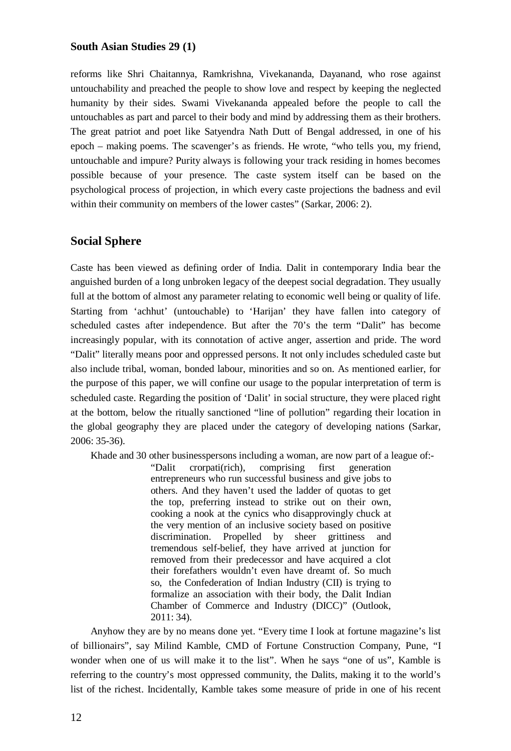reforms like Shri Chaitannya, Ramkrishna, Vivekananda, Dayanand, who rose against untouchability and preached the people to show love and respect by keeping the neglected humanity by their sides. Swami Vivekananda appealed before the people to call the untouchables as part and parcel to their body and mind by addressing them as their brothers. The great patriot and poet like Satyendra Nath Dutt of Bengal addressed, in one of his epoch – making poems. The scavenger's as friends. He wrote, "who tells you, my friend, untouchable and impure? Purity always is following your track residing in homes becomes possible because of your presence. The caste system itself can be based on the psychological process of projection, in which every caste projections the badness and evil within their community on members of the lower castes" (Sarkar, 2006: 2).

# **Social Sphere**

Caste has been viewed as defining order of India. Dalit in contemporary India bear the anguished burden of a long unbroken legacy of the deepest social degradation. They usually full at the bottom of almost any parameter relating to economic well being or quality of life. Starting from 'achhut' (untouchable) to 'Harijan' they have fallen into category of scheduled castes after independence. But after the 70's the term "Dalit" has become increasingly popular, with its connotation of active anger, assertion and pride. The word "Dalit" literally means poor and oppressed persons. It not only includes scheduled caste but also include tribal, woman, bonded labour, minorities and so on. As mentioned earlier, for the purpose of this paper, we will confine our usage to the popular interpretation of term is scheduled caste. Regarding the position of 'Dalit' in social structure, they were placed right at the bottom, below the ritually sanctioned "line of pollution" regarding their location in the global geography they are placed under the category of developing nations (Sarkar, 2006: 35-36).

Khade and 30 other businesspersons including a woman, are now part of a league of:-

"Dalit crorpati(rich), comprising first generation entrepreneurs who run successful business and give jobs to others. And they haven't used the ladder of quotas to get the top, preferring instead to strike out on their own, cooking a nook at the cynics who disapprovingly chuck at the very mention of an inclusive society based on positive discrimination. Propelled by sheer grittiness and tremendous self-belief, they have arrived at junction for removed from their predecessor and have acquired a clot their forefathers wouldn't even have dreamt of. So much so, the Confederation of Indian Industry (CII) is trying to formalize an association with their body, the Dalit Indian Chamber of Commerce and Industry (DICC)" (Outlook, 2011: 34).

Anyhow they are by no means done yet. "Every time I look at fortune magazine's list of billionairs", say Milind Kamble, CMD of Fortune Construction Company, Pune, "I wonder when one of us will make it to the list". When he says "one of us", Kamble is referring to the country's most oppressed community, the Dalits, making it to the world's list of the richest. Incidentally, Kamble takes some measure of pride in one of his recent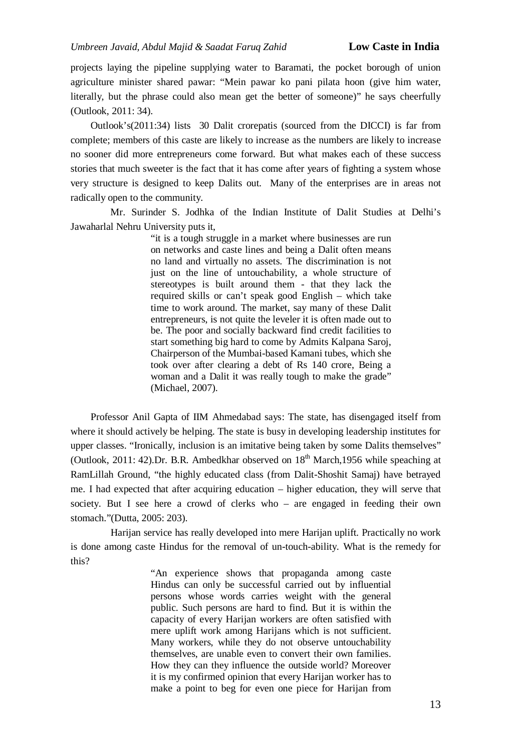projects laying the pipeline supplying water to Baramati, the pocket borough of union agriculture minister shared pawar: "Mein pawar ko pani pilata hoon (give him water, literally, but the phrase could also mean get the better of someone)" he says cheerfully (Outlook, 2011: 34).

Outlook's(2011:34) lists 30 Dalit crorepatis (sourced from the DICCI) is far from complete; members of this caste are likely to increase as the numbers are likely to increase no sooner did more entrepreneurs come forward. But what makes each of these success stories that much sweeter is the fact that it has come after years of fighting a system whose very structure is designed to keep Dalits out. Many of the enterprises are in areas not radically open to the community.

 Mr. Surinder S. Jodhka of the Indian Institute of Dalit Studies at Delhi's Jawaharlal Nehru University puts it,

> "it is a tough struggle in a market where businesses are run on networks and caste lines and being a Dalit often means no land and virtually no assets. The discrimination is not just on the line of untouchability, a whole structure of stereotypes is built around them - that they lack the required skills or can't speak good English – which take time to work around. The market, say many of these Dalit entrepreneurs, is not quite the leveler it is often made out to be. The poor and socially backward find credit facilities to start something big hard to come by Admits Kalpana Saroj, Chairperson of the Mumbai-based Kamani tubes, which she took over after clearing a debt of Rs 140 crore, Being a woman and a Dalit it was really tough to make the grade" (Michael, 2007).

Professor Anil Gapta of IIM Ahmedabad says: The state, has disengaged itself from where it should actively be helping. The state is busy in developing leadership institutes for upper classes. "Ironically, inclusion is an imitative being taken by some Dalits themselves" (Outlook, 2011: 42).Dr. B.R. Ambedkhar observed on  $18<sup>th</sup>$  March,1956 while speaching at RamLillah Ground, "the highly educated class (from Dalit-Shoshit Samaj) have betrayed me. I had expected that after acquiring education – higher education, they will serve that society. But I see here a crowd of clerks who – are engaged in feeding their own stomach."(Dutta, 2005: 203).

Harijan service has really developed into mere Harijan uplift. Practically no work is done among caste Hindus for the removal of un-touch-ability. What is the remedy for this?

> "An experience shows that propaganda among caste Hindus can only be successful carried out by influential persons whose words carries weight with the general public. Such persons are hard to find. But it is within the capacity of every Harijan workers are often satisfied with mere uplift work among Harijans which is not sufficient. Many workers, while they do not observe untouchability themselves, are unable even to convert their own families. How they can they influence the outside world? Moreover it is my confirmed opinion that every Harijan worker has to make a point to beg for even one piece for Harijan from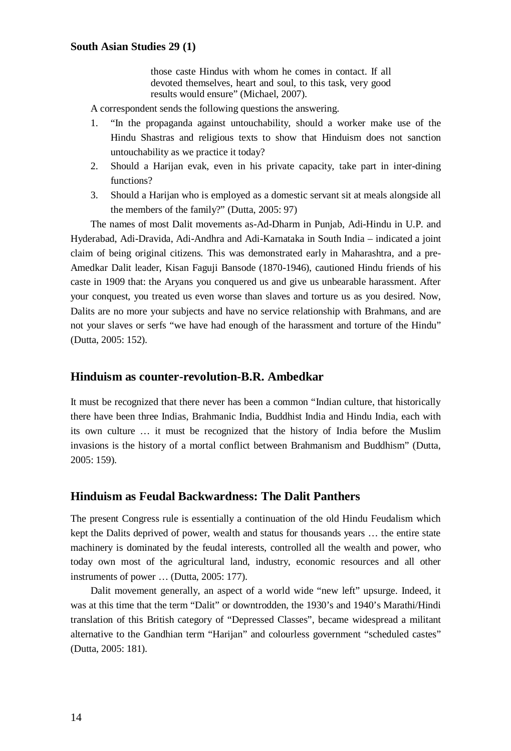those caste Hindus with whom he comes in contact. If all devoted themselves, heart and soul, to this task, very good results would ensure" (Michael, 2007).

A correspondent sends the following questions the answering.

- 1. "In the propaganda against untouchability, should a worker make use of the Hindu Shastras and religious texts to show that Hinduism does not sanction untouchability as we practice it today?
- 2. Should a Harijan evak, even in his private capacity, take part in inter-dining functions?
- 3. Should a Harijan who is employed as a domestic servant sit at meals alongside all the members of the family?" (Dutta, 2005: 97)

The names of most Dalit movements as-Ad-Dharm in Punjab, Adi-Hindu in U.P. and Hyderabad, Adi-Dravida, Adi-Andhra and Adi-Karnataka in South India – indicated a joint claim of being original citizens. This was demonstrated early in Maharashtra, and a pre-Amedkar Dalit leader, Kisan Faguji Bansode (1870-1946), cautioned Hindu friends of his caste in 1909 that: the Aryans you conquered us and give us unbearable harassment. After your conquest, you treated us even worse than slaves and torture us as you desired. Now, Dalits are no more your subjects and have no service relationship with Brahmans, and are not your slaves or serfs "we have had enough of the harassment and torture of the Hindu" (Dutta, 2005: 152).

### **Hinduism as counter-revolution-B.R. Ambedkar**

It must be recognized that there never has been a common "Indian culture, that historically there have been three Indias, Brahmanic India, Buddhist India and Hindu India, each with its own culture … it must be recognized that the history of India before the Muslim invasions is the history of a mortal conflict between Brahmanism and Buddhism" (Dutta, 2005: 159).

# **Hinduism as Feudal Backwardness: The Dalit Panthers**

The present Congress rule is essentially a continuation of the old Hindu Feudalism which kept the Dalits deprived of power, wealth and status for thousands years … the entire state machinery is dominated by the feudal interests, controlled all the wealth and power, who today own most of the agricultural land, industry, economic resources and all other instruments of power … (Dutta, 2005: 177).

Dalit movement generally, an aspect of a world wide "new left" upsurge. Indeed, it was at this time that the term "Dalit" or downtrodden, the 1930's and 1940's Marathi/Hindi translation of this British category of "Depressed Classes", became widespread a militant alternative to the Gandhian term "Harijan" and colourless government "scheduled castes" (Dutta, 2005: 181).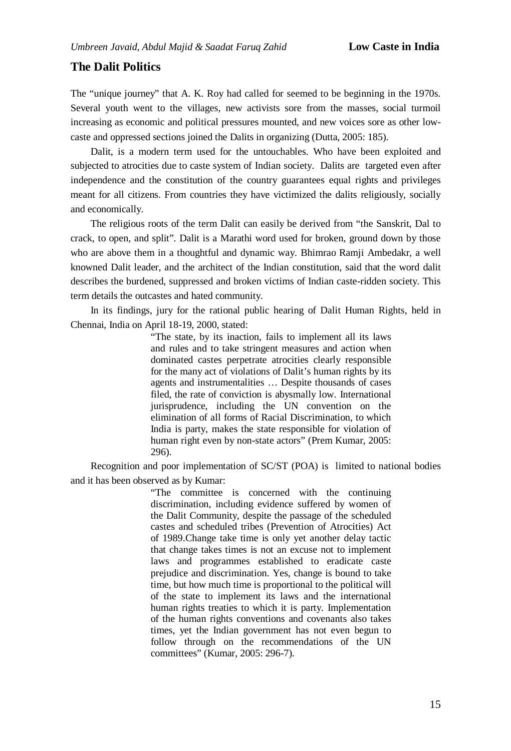# **The Dalit Politics**

The "unique journey" that A. K. Roy had called for seemed to be beginning in the 1970s. Several youth went to the villages, new activists sore from the masses, social turmoil increasing as economic and political pressures mounted, and new voices sore as other lowcaste and oppressed sections joined the Dalits in organizing (Dutta, 2005: 185).

Dalit, is a modern term used for the untouchables. Who have been exploited and subjected to atrocities due to caste system of Indian society. Dalits are targeted even after independence and the constitution of the country guarantees equal rights and privileges meant for all citizens. From countries they have victimized the dalits religiously, socially and economically.

The religious roots of the term Dalit can easily be derived from "the Sanskrit, Dal to crack, to open, and split". Dalit is a Marathi word used for broken, ground down by those who are above them in a thoughtful and dynamic way. Bhimrao Ramji Ambedakr, a well knowned Dalit leader, and the architect of the Indian constitution, said that the word dalit describes the burdened, suppressed and broken victims of Indian caste-ridden society. This term details the outcastes and hated community.

In its findings, jury for the rational public hearing of Dalit Human Rights, held in Chennai, India on April 18-19, 2000, stated:

> "The state, by its inaction, fails to implement all its laws and rules and to take stringent measures and action when dominated castes perpetrate atrocities clearly responsible for the many act of violations of Dalit's human rights by its agents and instrumentalities … Despite thousands of cases filed, the rate of conviction is abysmally low. International jurisprudence, including the UN convention on the elimination of all forms of Racial Discrimination, to which India is party, makes the state responsible for violation of human right even by non-state actors" (Prem Kumar, 2005: 296).

Recognition and poor implementation of SC/ST (POA) is limited to national bodies and it has been observed as by Kumar:

> "The committee is concerned with the continuing discrimination, including evidence suffered by women of the Dalit Community, despite the passage of the scheduled castes and scheduled tribes (Prevention of Atrocities) Act of 1989.Change take time is only yet another delay tactic that change takes times is not an excuse not to implement laws and programmes established to eradicate caste prejudice and discrimination. Yes, change is bound to take time, but how much time is proportional to the political will of the state to implement its laws and the international human rights treaties to which it is party. Implementation of the human rights conventions and covenants also takes times, yet the Indian government has not even begun to follow through on the recommendations of the UN committees" (Kumar, 2005: 296-7).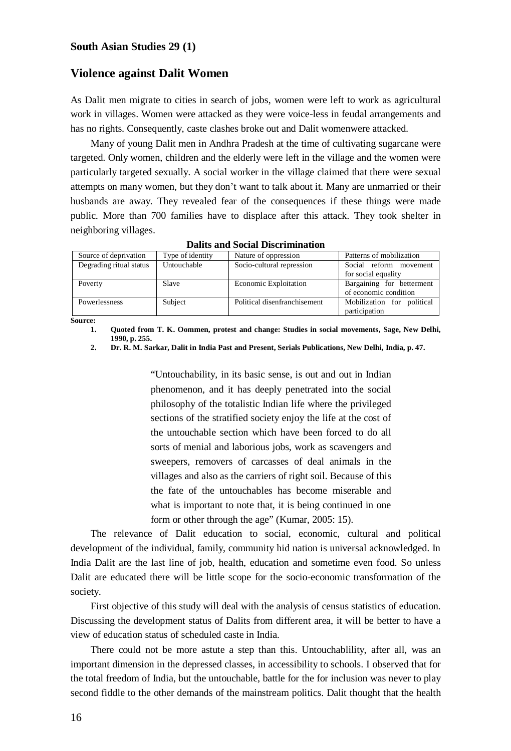#### **Violence against Dalit Women**

As Dalit men migrate to cities in search of jobs, women were left to work as agricultural work in villages. Women were attacked as they were voice-less in feudal arrangements and has no rights. Consequently, caste clashes broke out and Dalit womenwere attacked.

Many of young Dalit men in Andhra Pradesh at the time of cultivating sugarcane were targeted. Only women, children and the elderly were left in the village and the women were particularly targeted sexually. A social worker in the village claimed that there were sexual attempts on many women, but they don't want to talk about it. Many are unmarried or their husbands are away. They revealed fear of the consequences if these things were made public. More than 700 families have to displace after this attack. They took shelter in neighboring villages.

| Source of deprivation   | Type of identity | Nature of oppression         | Patterns of mobilization   |
|-------------------------|------------------|------------------------------|----------------------------|
| Degrading ritual status | Untouchable      | Socio-cultural repression    | Social reform movement     |
|                         |                  |                              | for social equality        |
| Poverty                 | Slave            | <b>Economic Exploitation</b> | Bargaining for betterment  |
|                         |                  |                              | of economic condition      |
| Powerlessness           | Subject          | Political disenfranchisement | Mobilization for political |
|                         |                  |                              | participation              |

**Dalits and Social Discrimination**

**Source:**

**1. Quoted from T. K. Oommen, protest and change: Studies in social movements, Sage, New Delhi, 1990, p. 255.**

**2. Dr. R. M. Sarkar, Dalit in India Past and Present, Serials Publications, New Delhi, India, p. 47.**

"Untouchability, in its basic sense, is out and out in Indian phenomenon, and it has deeply penetrated into the social philosophy of the totalistic Indian life where the privileged sections of the stratified society enjoy the life at the cost of the untouchable section which have been forced to do all sorts of menial and laborious jobs, work as scavengers and sweepers, removers of carcasses of deal animals in the villages and also as the carriers of right soil. Because of this the fate of the untouchables has become miserable and what is important to note that, it is being continued in one form or other through the age" (Kumar, 2005: 15).

The relevance of Dalit education to social, economic, cultural and political development of the individual, family, community hid nation is universal acknowledged. In India Dalit are the last line of job, health, education and sometime even food. So unless Dalit are educated there will be little scope for the socio-economic transformation of the society.

First objective of this study will deal with the analysis of census statistics of education. Discussing the development status of Dalits from different area, it will be better to have a view of education status of scheduled caste in India.

There could not be more astute a step than this. Untouchablility, after all, was an important dimension in the depressed classes, in accessibility to schools. I observed that for the total freedom of India, but the untouchable, battle for the for inclusion was never to play second fiddle to the other demands of the mainstream politics. Dalit thought that the health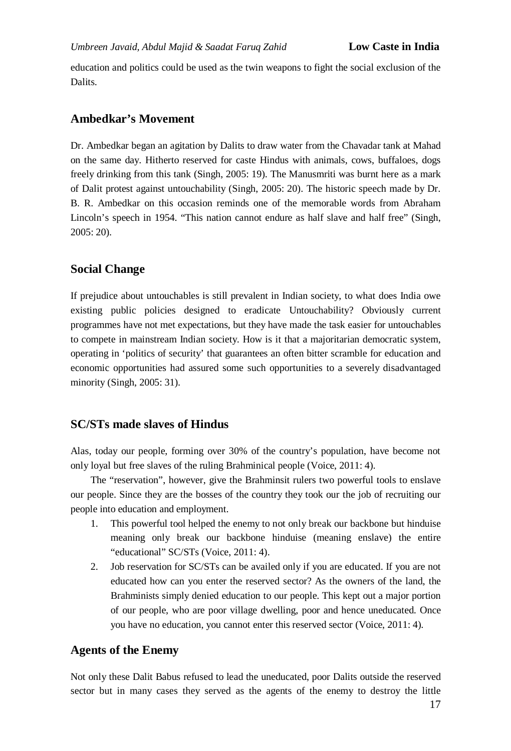education and politics could be used as the twin weapons to fight the social exclusion of the Dalits.

### **Ambedkar's Movement**

Dr. Ambedkar began an agitation by Dalits to draw water from the Chavadar tank at Mahad on the same day. Hitherto reserved for caste Hindus with animals, cows, buffaloes, dogs freely drinking from this tank (Singh, 2005: 19). The Manusmriti was burnt here as a mark of Dalit protest against untouchability (Singh, 2005: 20). The historic speech made by Dr. B. R. Ambedkar on this occasion reminds one of the memorable words from Abraham Lincoln's speech in 1954. "This nation cannot endure as half slave and half free" (Singh, 2005: 20).

# **Social Change**

If prejudice about untouchables is still prevalent in Indian society, to what does India owe existing public policies designed to eradicate Untouchability? Obviously current programmes have not met expectations, but they have made the task easier for untouchables to compete in mainstream Indian society. How is it that a majoritarian democratic system, operating in 'politics of security' that guarantees an often bitter scramble for education and economic opportunities had assured some such opportunities to a severely disadvantaged minority (Singh, 2005: 31).

# **SC/STs made slaves of Hindus**

Alas, today our people, forming over 30% of the country's population, have become not only loyal but free slaves of the ruling Brahminical people (Voice, 2011: 4).

The "reservation", however, give the Brahminsit rulers two powerful tools to enslave our people. Since they are the bosses of the country they took our the job of recruiting our people into education and employment.

- 1. This powerful tool helped the enemy to not only break our backbone but hinduise meaning only break our backbone hinduise (meaning enslave) the entire "educational" SC/STs (Voice, 2011: 4).
- 2. Job reservation for SC/STs can be availed only if you are educated. If you are not educated how can you enter the reserved sector? As the owners of the land, the Brahminists simply denied education to our people. This kept out a major portion of our people, who are poor village dwelling, poor and hence uneducated. Once you have no education, you cannot enter this reserved sector (Voice, 2011: 4).

### **Agents of the Enemy**

Not only these Dalit Babus refused to lead the uneducated, poor Dalits outside the reserved sector but in many cases they served as the agents of the enemy to destroy the little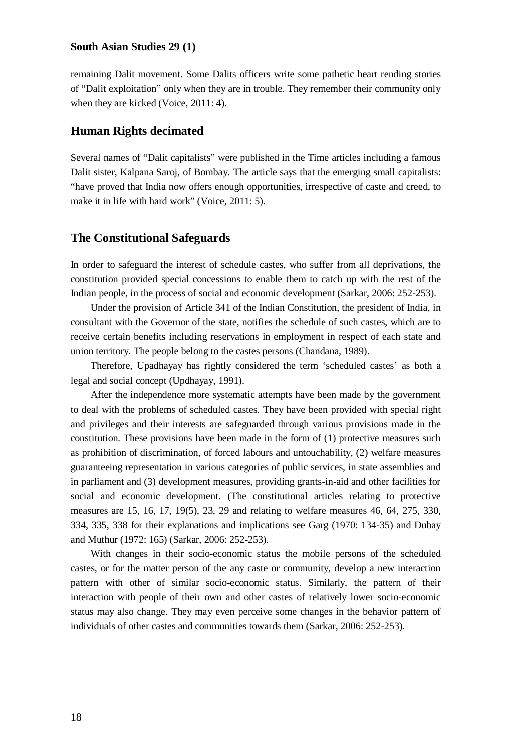remaining Dalit movement. Some Dalits officers write some pathetic heart rending stories of "Dalit exploitation" only when they are in trouble. They remember their community only when they are kicked (Voice, 2011: 4).

# **Human Rights decimated**

Several names of "Dalit capitalists" were published in the Time articles including a famous Dalit sister, Kalpana Saroj, of Bombay. The article says that the emerging small capitalists: "have proved that India now offers enough opportunities, irrespective of caste and creed, to make it in life with hard work" (Voice, 2011: 5).

#### **The Constitutional Safeguards**

In order to safeguard the interest of schedule castes, who suffer from all deprivations, the constitution provided special concessions to enable them to catch up with the rest of the Indian people, in the process of social and economic development (Sarkar, 2006: 252-253).

Under the provision of Article 341 of the Indian Constitution, the president of India, in consultant with the Governor of the state, notifies the schedule of such castes, which are to receive certain benefits including reservations in employment in respect of each state and union territory. The people belong to the castes persons (Chandana, 1989).

Therefore, Upadhayay has rightly considered the term 'scheduled castes' as both a legal and social concept (Updhayay, 1991).

After the independence more systematic attempts have been made by the government to deal with the problems of scheduled castes. They have been provided with special right and privileges and their interests are safeguarded through various provisions made in the constitution. These provisions have been made in the form of (1) protective measures such as prohibition of discrimination, of forced labours and untouchability, (2) welfare measures guaranteeing representation in various categories of public services, in state assemblies and in parliament and (3) development measures, providing grants-in-aid and other facilities for social and economic development. (The constitutional articles relating to protective measures are 15, 16, 17, 19(5), 23, 29 and relating to welfare measures 46, 64, 275, 330, 334, 335, 338 for their explanations and implications see Garg (1970: 134-35) and Dubay and Muthur (1972: 165) (Sarkar, 2006: 252-253).

With changes in their socio-economic status the mobile persons of the scheduled castes, or for the matter person of the any caste or community, develop a new interaction pattern with other of similar socio-economic status. Similarly, the pattern of their interaction with people of their own and other castes of relatively lower socio-economic status may also change. They may even perceive some changes in the behavior pattern of individuals of other castes and communities towards them (Sarkar, 2006: 252-253).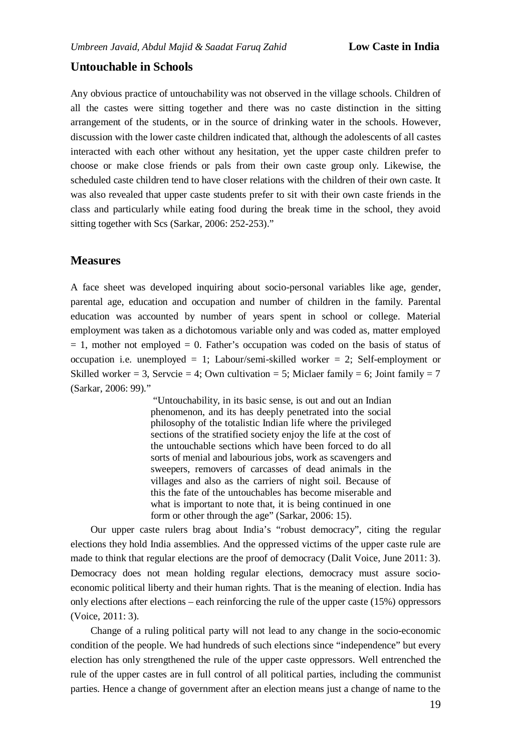### **Untouchable in Schools**

Any obvious practice of untouchability was not observed in the village schools. Children of all the castes were sitting together and there was no caste distinction in the sitting arrangement of the students, or in the source of drinking water in the schools. However, discussion with the lower caste children indicated that, although the adolescents of all castes interacted with each other without any hesitation, yet the upper caste children prefer to choose or make close friends or pals from their own caste group only. Likewise, the scheduled caste children tend to have closer relations with the children of their own caste. It was also revealed that upper caste students prefer to sit with their own caste friends in the class and particularly while eating food during the break time in the school, they avoid sitting together with Scs (Sarkar, 2006: 252-253)."

### **Measures**

A face sheet was developed inquiring about socio-personal variables like age, gender, parental age, education and occupation and number of children in the family. Parental education was accounted by number of years spent in school or college. Material employment was taken as a dichotomous variable only and was coded as, matter employed  $= 1$ , mother not employed  $= 0$ . Father's occupation was coded on the basis of status of occupation i.e. unemployed = 1; Labour/semi-skilled worker = 2; Self-employment or Skilled worker = 3, Servcie = 4; Own cultivation = 5; Miclaer family = 6; Joint family = 7 (Sarkar, 2006: 99)."

> "Untouchability, in its basic sense, is out and out an Indian phenomenon, and its has deeply penetrated into the social philosophy of the totalistic Indian life where the privileged sections of the stratified society enjoy the life at the cost of the untouchable sections which have been forced to do all sorts of menial and labourious jobs, work as scavengers and sweepers, removers of carcasses of dead animals in the villages and also as the carriers of night soil. Because of this the fate of the untouchables has become miserable and what is important to note that, it is being continued in one form or other through the age" (Sarkar, 2006: 15).

Our upper caste rulers brag about India's "robust democracy", citing the regular elections they hold India assemblies. And the oppressed victims of the upper caste rule are made to think that regular elections are the proof of democracy (Dalit Voice, June 2011: 3). Democracy does not mean holding regular elections, democracy must assure socioeconomic political liberty and their human rights. That is the meaning of election. India has only elections after elections – each reinforcing the rule of the upper caste (15%) oppressors (Voice, 2011: 3).

Change of a ruling political party will not lead to any change in the socio-economic condition of the people. We had hundreds of such elections since "independence" but every election has only strengthened the rule of the upper caste oppressors. Well entrenched the rule of the upper castes are in full control of all political parties, including the communist parties. Hence a change of government after an election means just a change of name to the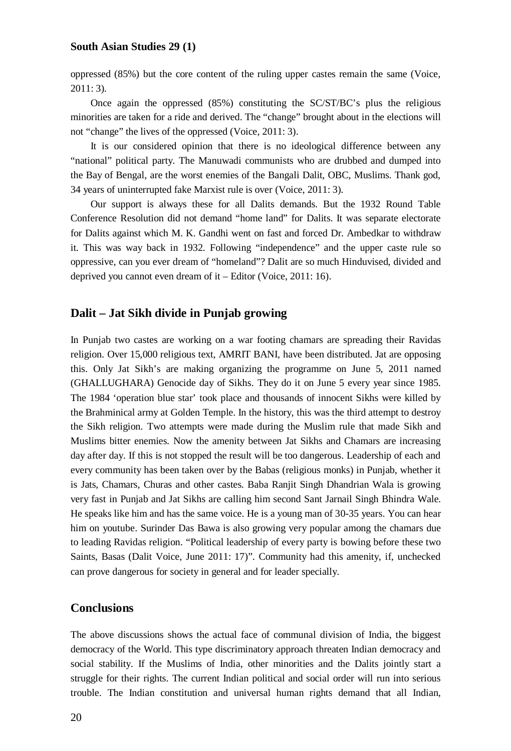oppressed (85%) but the core content of the ruling upper castes remain the same (Voice, 2011: 3).

Once again the oppressed (85%) constituting the SC/ST/BC's plus the religious minorities are taken for a ride and derived. The "change" brought about in the elections will not "change" the lives of the oppressed (Voice, 2011: 3).

It is our considered opinion that there is no ideological difference between any "national" political party. The Manuwadi communists who are drubbed and dumped into the Bay of Bengal, are the worst enemies of the Bangali Dalit, OBC, Muslims. Thank god, 34 years of uninterrupted fake Marxist rule is over (Voice, 2011: 3).

Our support is always these for all Dalits demands. But the 1932 Round Table Conference Resolution did not demand "home land" for Dalits. It was separate electorate for Dalits against which M. K. Gandhi went on fast and forced Dr. Ambedkar to withdraw it. This was way back in 1932. Following "independence" and the upper caste rule so oppressive, can you ever dream of "homeland"? Dalit are so much Hinduvised, divided and deprived you cannot even dream of it – Editor (Voice, 2011: 16).

# **Dalit – Jat Sikh divide in Punjab growing**

In Punjab two castes are working on a war footing chamars are spreading their Ravidas religion. Over 15,000 religious text, AMRIT BANI, have been distributed. Jat are opposing this. Only Jat Sikh's are making organizing the programme on June 5, 2011 named (GHALLUGHARA) Genocide day of Sikhs. They do it on June 5 every year since 1985. The 1984 'operation blue star' took place and thousands of innocent Sikhs were killed by the Brahminical army at Golden Temple. In the history, this was the third attempt to destroy the Sikh religion. Two attempts were made during the Muslim rule that made Sikh and Muslims bitter enemies. Now the amenity between Jat Sikhs and Chamars are increasing day after day. If this is not stopped the result will be too dangerous. Leadership of each and every community has been taken over by the Babas (religious monks) in Punjab, whether it is Jats, Chamars, Churas and other castes. Baba Ranjit Singh Dhandrian Wala is growing very fast in Punjab and Jat Sikhs are calling him second Sant Jarnail Singh Bhindra Wale. He speaks like him and has the same voice. He is a young man of 30-35 years. You can hear him on youtube. Surinder Das Bawa is also growing very popular among the chamars due to leading Ravidas religion. "Political leadership of every party is bowing before these two Saints, Basas (Dalit Voice, June 2011: 17)". Community had this amenity, if, unchecked can prove dangerous for society in general and for leader specially.

### **Conclusions**

The above discussions shows the actual face of communal division of India, the biggest democracy of the World. This type discriminatory approach threaten Indian democracy and social stability. If the Muslims of India, other minorities and the Dalits jointly start a struggle for their rights. The current Indian political and social order will run into serious trouble. The Indian constitution and universal human rights demand that all Indian,